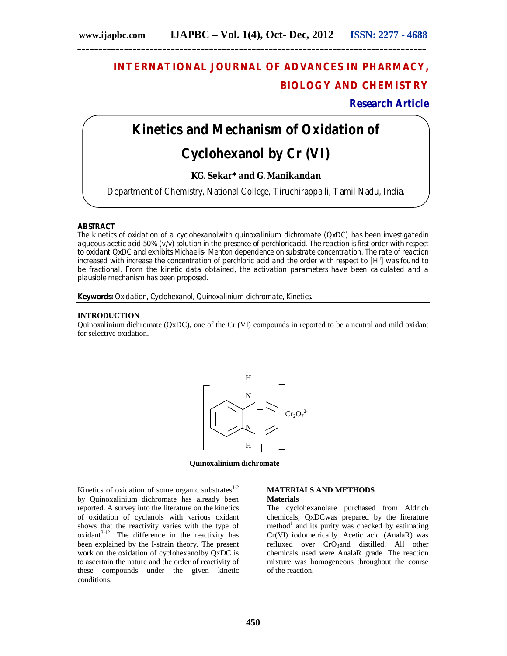# **INTERNATIONAL JOURNAL OF ADVANCES IN PHARMACY, BIOLOGY AND CHEMISTRY**

**Research Article**

## **Kinetics and Mechanism of Oxidation of**

## **Cyclohexanol by Cr (VI)**

### **KG. Sekar\* and G. Manikandan**

Department of Chemistry, National College, Tiruchirappalli, Tamil Nadu, India.

### **ABSTRACT**

The kinetics of oxidation of a cyclohexanolwith quinoxalinium dichromate (QxDC) has been investigatedin aqueous acetic acid 50% (*v/v*) solution in the presence of perchloricacid. The reaction is first order with respect to oxidant QxDC and exhibits Michaelis- Menton dependence on substrate concentration. The rate of reaction increased with increase the concentration of perchloric acid and the order with respect to [H<sup>+</sup>] was found to be fractional. From the kinetic data obtained, the activation parameters have been calculated and a plausible mechanism has been proposed.

**Keywords:** Oxidation, Cyclohexanol, Quinoxalinium dichromate, Kinetics.

### **INTRODUCTION**

Quinoxalinium dichromate (QxDC), one of the Cr (VI) compounds in reported to be a neutral and mild oxidant for selective oxidation.



**Quinoxalinium dichromate**

Kinetics of oxidation of some organic substrates $1-2$ by Quinoxalinium dichromate has already been reported. A survey into the literature on the kinetics of oxidation of cyclanols with various oxidant shows that the reactivity varies with the type of  $oxidant<sup>3-12</sup>$ . The difference in the reactivity has been explained by the I-strain theory. The present work on the oxidation of cyclohexanolby OxDC is to ascertain the nature and the order of reactivity of these compounds under the given kinetic conditions.

### **MATERIALS AND METHODS**

### **Materials**

The cyclohexanolare purchased from Aldrich chemicals, QxDCwas prepared by the literature method<sup>1</sup> and its purity was checked by estimating Cr(VI) iodometrically. Acetic acid (AnalaR) was refluxed over CrO<sub>3</sub>and distilled. All other chemicals used were AnalaR grade. The reaction mixture was homogeneous throughout the course of the reaction.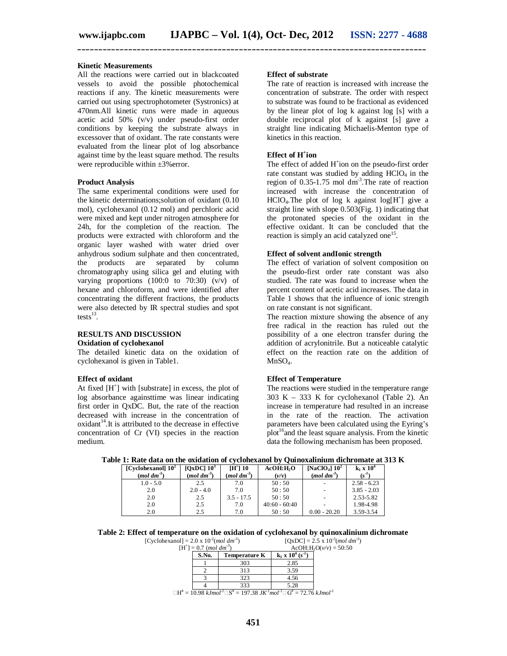**\_\_\_\_\_\_\_\_\_\_\_\_\_\_\_\_\_\_\_\_\_\_\_\_\_\_\_\_\_\_\_\_\_\_\_\_\_\_\_\_\_\_\_\_\_\_\_\_\_\_\_\_\_\_\_\_\_\_\_\_\_\_\_\_\_\_\_\_\_\_\_\_\_\_\_\_\_\_\_\_\_\_**

### **Kinetic Measurements**

All the reactions were carried out in blackcoated vessels to avoid the possible photochemical reactions if any. The kinetic measurements were carried out using spectrophotometer (Systronics) at 470nm.All kinetic runs were made in aqueous acetic acid 50%  $(v/v)$  under pseudo-first order conditions by keeping the substrate always in excessover that of oxidant. The rate constants were evaluated from the linear plot of log absorbance against time by the least square method. The results were reproducible within  $\pm 3\%$  error.

### **Product Analysis**

The same experimental conditions were used for the kinetic determinations;solution of oxidant (0.10 mol), cyclohexanol (0.12 mol) and perchloric acid were mixed and kept under nitrogen atmosphere for 24h, for the completion of the reaction. The products were extracted with chloroform and the organic layer washed with water dried over anhydrous sodium sulphate and then concentrated, the products are separated by column chromatography using silica gel and eluting with varying proportions (100:0 to 70:30) (v/v) of hexane and chloroform, and were identified after concentrating the different fractions, the products were also detected by IR spectral studies and spot tests $^{13}$ .

## **RESULTS AND DISCUSSION**

### **Oxidation of cyclohexanol**

The detailed kinetic data on the oxidation of cyclohexanol is given in Table1.

### **Effect of oxidant**

At fixed  $[H^+]$  with [substrate] in excess, the plot of log absorbance againsttime was linear indicating first order in QxDC. But, the rate of the reaction decreased with increase in the concentration of  $oxidant$ <sup>14</sup>.It is attributed to the decrease in effective concentration of Cr (VI) species in the reaction medium.

### **Effect of substrate**

The rate of reaction is increased with increase the concentration of substrate. The order with respect to substrate was found to be fractional as evidenced by the linear plot of log k against log [s] with a double reciprocal plot of k against [s] gave a straight line indicating Michaelis-Menton type of kinetics in this reaction.

### **Effect of H<sup>+</sup> ion**

The effect of added H<sup>+</sup>ion on the pseudo-first order rate constant was studied by adding  $HCIO<sub>4</sub>$  in the region of  $0.35$ -1.75 mol  $dm<sup>3</sup>$ . The rate of reaction increased with increase the concentration of  $HCIO<sub>4</sub>$ . The plot of log k against log[H<sup>+</sup>] give a straight line with slope 0.503(Fig. 1) indicating that the protonated species of the oxidant in the effective oxidant. It can be concluded that the reaction is simply an acid catalyzed one<sup>15</sup>.

### **Effect of solvent andIonic strength**

The effect of variation of solvent composition on the pseudo-first order rate constant was also studied. The rate was found to increase when the percent content of acetic acid increases. The data in Table 1 shows that the influence of ionic strength on rate constant is not significant.

The reaction mixture showing the absence of any free radical in the reaction has ruled out the possibility of a one electron transfer during the addition of acrylonitrile. But a noticeable catalytic effect on the reaction rate on the addition of  $MnSO<sub>4</sub>$ .

### **Effect of Temperature**

The reactions were studied in the temperature range 303 K – 333 K for cyclohexanol (Table 2). An increase in temperature had resulted in an increase in the rate of the reaction. The activation parameters have been calculated using the Eyring's  $_{\rm plot}^{16}$  and the least square analysis. From the kinetic data the following mechanism has been proposed.

| Table 1: Rate data on the oxidation of cyclohexanol by Quinoxalinium dichromate at 313 K |  |  |  |
|------------------------------------------------------------------------------------------|--|--|--|
|------------------------------------------------------------------------------------------|--|--|--|

| [Cyclohexanol] $102$  | [ $OxDC$ ] $10^3$      | <b>TH+1 10</b>           | AcOH:HO         | [NaClO <sub>4</sub> ] $10^2$ | $k_1 \times 10^4$ |
|-----------------------|------------------------|--------------------------|-----------------|------------------------------|-------------------|
| $(mod \text{ } dm^3)$ | (mol dm <sup>3</sup> ) | $(mod \text{ } dm^{-3})$ | $(\nu/\nu)$     | $(mod \text{ } dm^{-3})$     | $(s^{-1})$        |
| $1.0 - 5.0$           | 2.5                    | 7.0                      | 50:50           |                              | $2.58 - 6.23$     |
| 2.0                   | $2.0 - 4.0$            | 7.0                      | 50:50           |                              | $3.85 - 2.03$     |
| 2.0                   | 2.5                    | $3.5 - 17.5$             | 50:50           |                              | 2.53-5.82         |
| 2.0                   | 2.5                    | 7.0                      | $40:60 - 60:40$ |                              | 1.98-4.98         |
| 2.0                   | 2.5                    | 7.0                      | 50:50           | $0.00 - 20.20$               | 3.59-3.54         |

### **Table 2: Effect of temperature on the oxidation of cyclohexanol by quinoxalinium dichromate**

 $[Cyclohexanol] = 2.0 \times 10^{-2} (mol dm^{-3})$  $[QxDC] = 2.5 \times 10^{-3} (mol \ dm^{-3})$ 

| $\frac{1}{2}$ |                                               |                                            |                            |  |
|---------------|-----------------------------------------------|--------------------------------------------|----------------------------|--|
|               | $[H^{\dagger}] = 0.7$ (mol dm <sup>-3</sup> ) | $AcOH$ : H <sub>2</sub> O( $v/v$ ) = 50:50 |                            |  |
|               | S.No.                                         | <b>Temperature K</b>                       | $k_1 \times 10^4 (s^{-1})$ |  |
|               |                                               | 303                                        | 2.85                       |  |
|               |                                               | 313                                        | 3.59                       |  |
|               |                                               | 323                                        | 4.56                       |  |
|               |                                               | 333                                        | 5.28                       |  |

 $\Box H^* = 10.98$   $kJmol^I \Box S^* = 197.38$   $JK^I mol^I \Box G^* = 72.76$   $kJmol^I$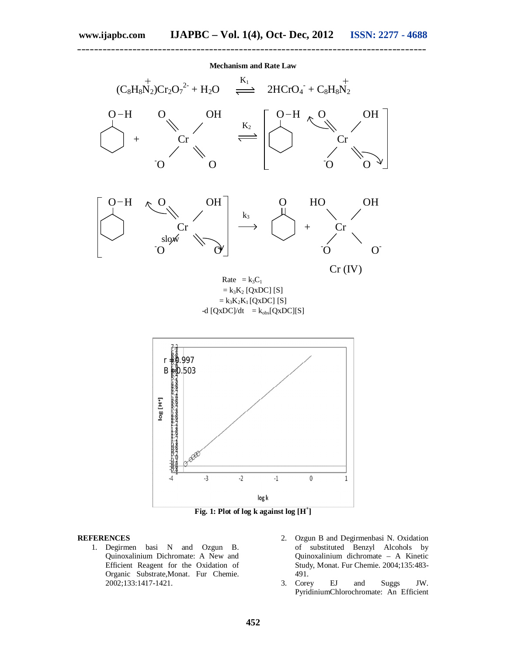**\_\_\_\_\_\_\_\_\_\_\_\_\_\_\_\_\_\_\_\_\_\_\_\_\_\_\_\_\_\_\_\_\_\_\_\_\_\_\_\_\_\_\_\_\_\_\_\_\_\_\_\_\_\_\_\_\_\_\_\_\_\_\_\_\_\_\_\_\_\_\_\_\_\_\_\_\_\_\_\_\_\_**



### **REFERENCES**

- 1. Degirmen basi N and Ozgun B. Quinoxalinium Dichromate: A New and Efficient Reagent for the Oxidation of Organic Substrate,Monat. Fur Chemie. 2002;133:1417-1421.
- 2. Ozgun B and Degirmenbasi N. Oxidation of substituted Benzyl Alcohols by Quinoxalinium dichromate – A Kinetic Study, Monat. Fur Chemie. 2004;135:483- 491.
- 3. Corey EJ and Suggs JW. PyridiniumChlorochromate: An Efficient